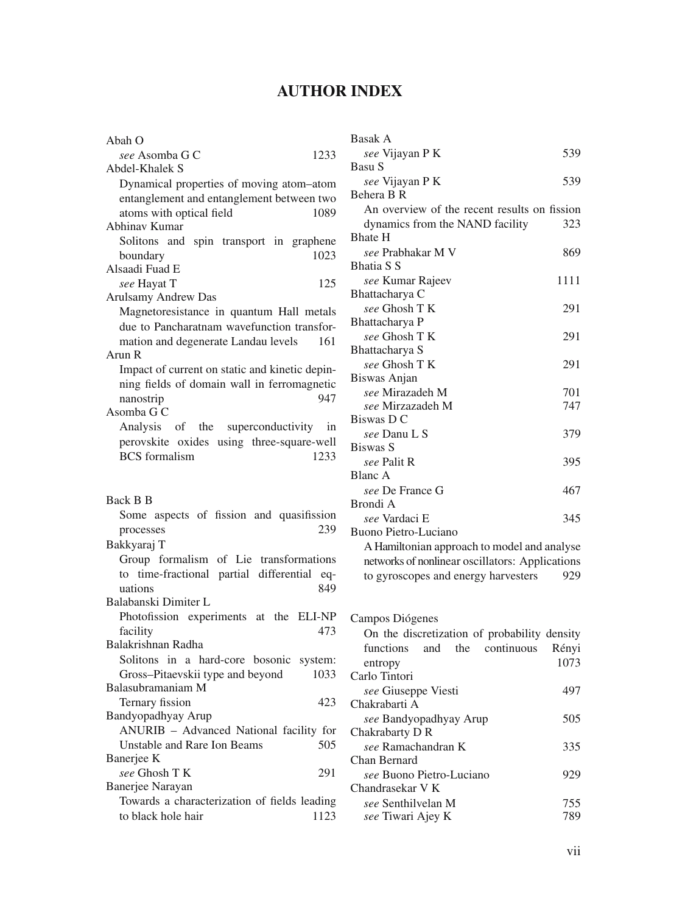## **AUTHOR INDEX**

| Abah O                                         |
|------------------------------------------------|
| see Asomba G C<br>1233                         |
| Abdel-Khalek S                                 |
| Dynamical properties of moving atom-atom       |
| entanglement and entanglement between two      |
| atoms with optical field<br>1089               |
| Abhinav Kumar                                  |
| Solitons and<br>spin transport in graphene     |
| 1023<br>boundary                               |
| Alsaadi Fuad E                                 |
| see Hayat T<br>125                             |
| Arulsamy Andrew Das                            |
| Magnetoresistance in quantum Hall metals       |
| due to Pancharatnam wavefunction transfor-     |
| mation and degenerate Landau levels<br>161     |
| Arun R                                         |
| Impact of current on static and kinetic depin- |
| ning fields of domain wall in ferromagnetic    |
| 947<br>nanostrip                               |
| Asomba G C                                     |
| Analysis of the superconductivity in           |
| perovskite oxides using three-square-well      |
| <b>BCS</b> formalism<br>1233                   |
|                                                |
|                                                |
|                                                |
|                                                |
| Back B B                                       |
| Some aspects of fission and quasifission       |
| 239<br>processes                               |
| Bakkyaraj T                                    |
| Group formalism of Lie transformations         |
| to time-fractional partial differential eq-    |
| uations<br>849                                 |
| Balabanski Dimiter L                           |
| Photofission experiments at the ELI-NP         |
| facility<br>473                                |
| Balakrishnan Radha                             |
| Solitons in a hard-core bosonic<br>system:     |
| Gross-Pitaevskii type and beyond<br>1033       |
| Balasubramaniam M                              |
| Ternary fission<br>423                         |
| Bandyopadhyay Arup                             |
| ANURIB - Advanced National facility for        |
| <b>Unstable and Rare Ion Beams</b><br>505      |
| Banerjee K                                     |
| see Ghosh T K<br>291                           |
| Banerjee Narayan                               |
| Towards a characterization of fields leading   |

| <b>Basak A</b>                                  |       |
|-------------------------------------------------|-------|
| see Vijayan P K                                 | 539   |
| Basu S                                          |       |
| see Vijayan P K                                 | 539   |
| Behera B R                                      |       |
| An overview of the recent results on fission    |       |
| dynamics from the NAND facility                 | 323   |
| <b>Bhate H</b>                                  |       |
| see Prabhakar M V                               | 869   |
| <b>Bhatia S S</b>                               |       |
| see Kumar Rajeev                                | 1111  |
| Bhattacharya C                                  |       |
| see Ghosh TK                                    | 291   |
| Bhattacharya P                                  |       |
| see Ghosh TK                                    | 291   |
| Bhattacharya S                                  |       |
| see Ghosh T K                                   | 291   |
| Biswas Anjan                                    |       |
| see Mirazadeh M                                 | 701   |
| see Mirzazadeh M                                | 747   |
| Biswas D C                                      |       |
| see Danu L S                                    | 379   |
| <b>Biswas S</b>                                 |       |
| see Palit R                                     | 395   |
| <b>Blanc A</b>                                  |       |
| see De France G                                 | 467   |
| Brondi A                                        |       |
| see Vardaci E                                   | 345   |
| Buono Pietro-Luciano                            |       |
| A Hamiltonian approach to model and analyse     |       |
| networks of nonlinear oscillators: Applications |       |
| to gyroscopes and energy harvesters             | 929   |
|                                                 |       |
|                                                 |       |
| Campos Diógenes                                 |       |
| On the discretization of probability density    |       |
| the continuous<br>functions<br>and              | Rényi |
| entropy                                         | 1073  |
| Carlo Tintori                                   |       |
| see Giuseppe Viesti                             | 497   |
| Chakrabarti A                                   |       |
| see Bandyopadhyay Arup                          | 505   |
| Chakrabarty D R                                 |       |
| see Ramachandran K                              | 335   |
| Chan Bernard                                    |       |
| see Buono Pietro-Luciano                        | 929   |
| Chandrasekar V K                                |       |
| see Senthilvelan M                              | 755   |

*see* Tiwari Ajey K 789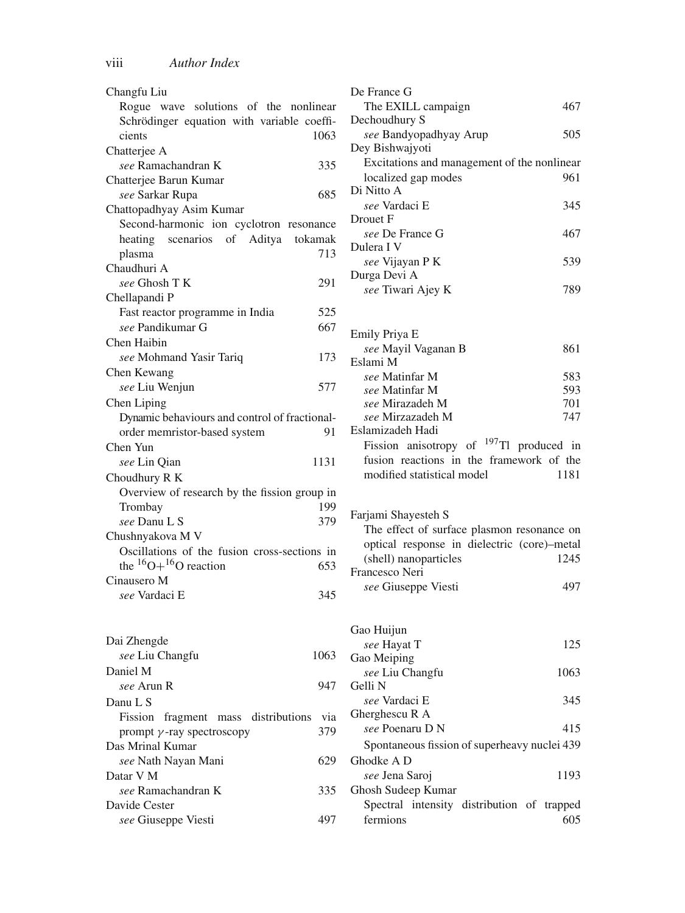| Changfu Liu                                   | De France G                                         |
|-----------------------------------------------|-----------------------------------------------------|
| Rogue wave solutions of the nonlinear         | The EXILL campaign<br>467                           |
| Schrödinger equation with variable coeffi-    | Dechoudhury S                                       |
| cients<br>1063                                | 505<br>see Bandyopadhyay Arup                       |
| Chatterjee A                                  | Dey Bishwajyoti                                     |
| see Ramachandran K<br>335                     | Excitations and management of the nonlinear         |
| Chatterjee Barun Kumar                        | localized gap modes<br>961                          |
| 685<br>see Sarkar Rupa                        | Di Nitto A                                          |
| Chattopadhyay Asim Kumar                      | see Vardaci E<br>345                                |
| Second-harmonic ion cyclotron resonance       | Drouet F                                            |
| scenarios of Aditya<br>heating<br>tokamak     | see De France G<br>467                              |
| 713<br>plasma                                 | Dulera I V                                          |
| Chaudhuri A                                   | see Vijayan P K<br>539                              |
| see Ghosh T K<br>291                          | Durga Devi A<br>789                                 |
| Chellapandi P                                 | see Tiwari Ajey K                                   |
| Fast reactor programme in India<br>525        |                                                     |
| see Pandikumar G<br>667                       |                                                     |
| Chen Haibin                                   | Emily Priya E<br>861                                |
| see Mohmand Yasir Tariq<br>173                | see Mayil Vaganan B<br>Eslami M                     |
| Chen Kewang                                   | see Matinfar M<br>583                               |
| see Liu Wenjun<br>577                         | see Matinfar M<br>593                               |
| Chen Liping                                   | see Mirazadeh M<br>701                              |
| Dynamic behaviours and control of fractional- | see Mirzazadeh M<br>747                             |
| order memristor-based system<br>91            | Eslamizadeh Hadi                                    |
| Chen Yun                                      | Fission anisotropy of <sup>197</sup> Tl produced in |
| see Lin Oian<br>1131                          | fusion reactions in the framework of the            |
| Choudhury R K                                 | modified statistical model<br>1181                  |
| Overview of research by the fission group in  |                                                     |
| Trombay<br>199                                |                                                     |
| see Danu L S<br>379                           | Farjami Shayesteh S                                 |
| Chushnyakova M V                              | The effect of surface plasmon resonance on          |
| Oscillations of the fusion cross-sections in  | optical response in dielectric (core)-metal         |
| the ${}^{16}O+{}^{16}O$ reaction<br>653       | (shell) nanoparticles<br>1245                       |
| Cinausero M                                   | Francesco Neri                                      |
| see Vardaci E<br>345                          | see Giuseppe Viesti<br>497                          |
|                                               |                                                     |
|                                               |                                                     |
| Dai Zhengde                                   | Gao Huijun                                          |
| see Liu Changfu<br>1063                       | 125<br>see Hayat T                                  |
| Daniel M                                      | Gao Meiping                                         |
|                                               | see Liu Changfu<br>1063<br>Gelli N                  |
| 947<br>see Arun R                             |                                                     |
| Danu L S                                      | see Vardaci E<br>345<br>Gherghescu R A              |
| Fission fragment mass distributions<br>via    | see Poenaru D N<br>415                              |
| 379<br>prompt $\gamma$ -ray spectroscopy      |                                                     |
| Das Mrinal Kumar                              | Spontaneous fission of superheavy nuclei 439        |
| see Nath Nayan Mani<br>629                    | Ghodke A D                                          |
| Datar V M                                     | see Jena Saroj<br>1193                              |
| see Ramachandran K<br>335                     | Ghosh Sudeep Kumar                                  |
| Davide Cester                                 | Spectral intensity distribution of trapped          |
| see Giuseppe Viesti<br>497                    | fermions<br>605                                     |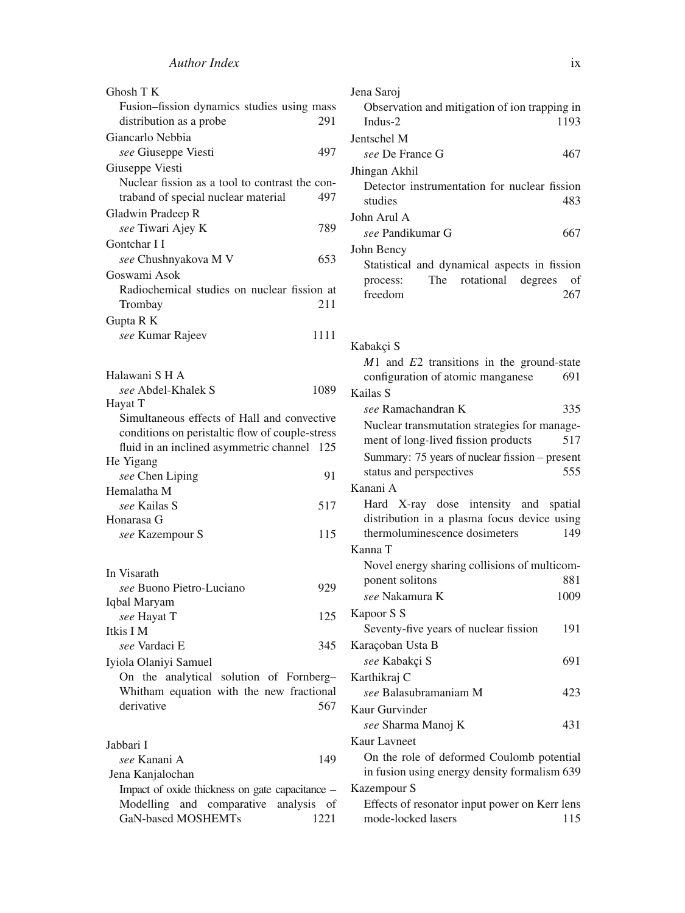| Ghosh T K                                                                                      |      |
|------------------------------------------------------------------------------------------------|------|
| Fusion-fission dynamics studies using mass                                                     |      |
| distribution as a probe                                                                        | 291  |
| Giancarlo Nebbia                                                                               |      |
| see Giuseppe Viesti                                                                            | 497  |
| Giuseppe Viesti                                                                                |      |
| Nuclear fission as a tool to contrast the con-                                                 |      |
| traband of special nuclear material                                                            | 497  |
| Gladwin Pradeep R                                                                              |      |
| see Tiwari Ajey K                                                                              | 789  |
| Gontchar I I                                                                                   |      |
| see Chushnyakova M V                                                                           | 653  |
| Goswami Asok                                                                                   |      |
| Radiochemical studies on nuclear fission at                                                    |      |
| Trombay                                                                                        | 211  |
| Gupta R K                                                                                      |      |
| see Kumar Rajeev                                                                               | 1111 |
|                                                                                                |      |
|                                                                                                |      |
| Halawani S H A                                                                                 |      |
| see Abdel-Khalek S                                                                             | 1089 |
| Hayat T                                                                                        |      |
| Simultaneous effects of Hall and convective<br>conditions on peristaltic flow of couple-stress |      |
| fluid in an inclined asymmetric channel                                                        |      |
| He Yigang                                                                                      | 125  |
| see Chen Liping                                                                                | 91   |
| Hemalatha M                                                                                    |      |
| see Kailas S                                                                                   | 517  |
| Honarasa G                                                                                     |      |
| see Kazempour S                                                                                | 115  |
|                                                                                                |      |
|                                                                                                |      |
| In Visarath                                                                                    |      |
| see Buono Pietro-Luciano                                                                       | 929  |
| Iqbal Maryam                                                                                   |      |
| see Hayat T                                                                                    | 125  |
| Itkis I M                                                                                      |      |
| see Vardaci E                                                                                  | 345  |
| Iyiola Olaniyi Samuel                                                                          |      |
| On the analytical<br>solution of Fornberg-                                                     |      |
| Whitham equation with the new fractional                                                       |      |
| derivative                                                                                     | 567  |
|                                                                                                |      |
| Jabbari I                                                                                      |      |
| see Kanani A                                                                                   | 149  |
| Jena Kanjalochan                                                                               |      |
| Impact of oxide thickness on gate capacitance -                                                |      |
| Modelling<br>and comparative<br>analysis                                                       | of   |

GaN-based MOSHEMTs 1221

| Jena Saroj                                     |      |
|------------------------------------------------|------|
| Observation and mitigation of ion trapping in  |      |
| Indus-2                                        | 1193 |
| Jentschel M                                    |      |
| see De France G                                | 467  |
| Jhingan Akhil                                  |      |
| Detector instrumentation for nuclear fission   |      |
| studies                                        | 483  |
| John Arul A                                    |      |
| see Pandikumar G                               | 667  |
| John Bency                                     |      |
| Statistical and dynamical aspects in fission   |      |
| The rotational degrees of<br>process:          |      |
| freedom                                        | 267  |
|                                                |      |
|                                                |      |
| Kabakci S                                      |      |
| $M1$ and $E2$ transitions in the ground-state  |      |
| configuration of atomic manganese              | 691  |
| Kailas S                                       |      |
| see Ramachandran K                             | 335  |
|                                                |      |
| Nuclear transmutation strategies for manage-   |      |
| ment of long-lived fission products            | 517  |
| Summary: 75 years of nuclear fission - present |      |
| status and perspectives                        | 555  |
| Kanani A                                       |      |

Hard X-ray dose intensity and spatial distribution in a plasma focus device using thermoluminescence dosimeters 149

## Kanna T

| Novel energy sharing collisions of multicom-                                                              |      |
|-----------------------------------------------------------------------------------------------------------|------|
| ponent solitons                                                                                           | 881  |
| <i>see</i> Nakamura K                                                                                     | 1009 |
| Kapoor S S                                                                                                |      |
| Seventy-five years of nuclear fission                                                                     | 191  |
| Karacoban Usta B                                                                                          |      |
| see Kabakçi S                                                                                             | 691  |
| Karthikraj C                                                                                              |      |
| see Balasubramaniam M                                                                                     | 423  |
| Kaur Gurvinder                                                                                            |      |
| see Sharma Manoi K                                                                                        | 431  |
| Kaur Lavneet                                                                                              |      |
| $Q_{n+1}$ , $Q_{n+1}$ , $Q_{n+1}$ , $Q_{n+1}$ , $Q_{n+1}$ , $Q_{n+1}$ , $Q_{n+1}$ , $Q_{n+1}$ , $Q_{n+1}$ |      |

On the role of deformed Coulomb potential in fusion using energy density formalism 639 Kazempour S

Effects of resonator input power on Kerr lens mode-locked lasers 115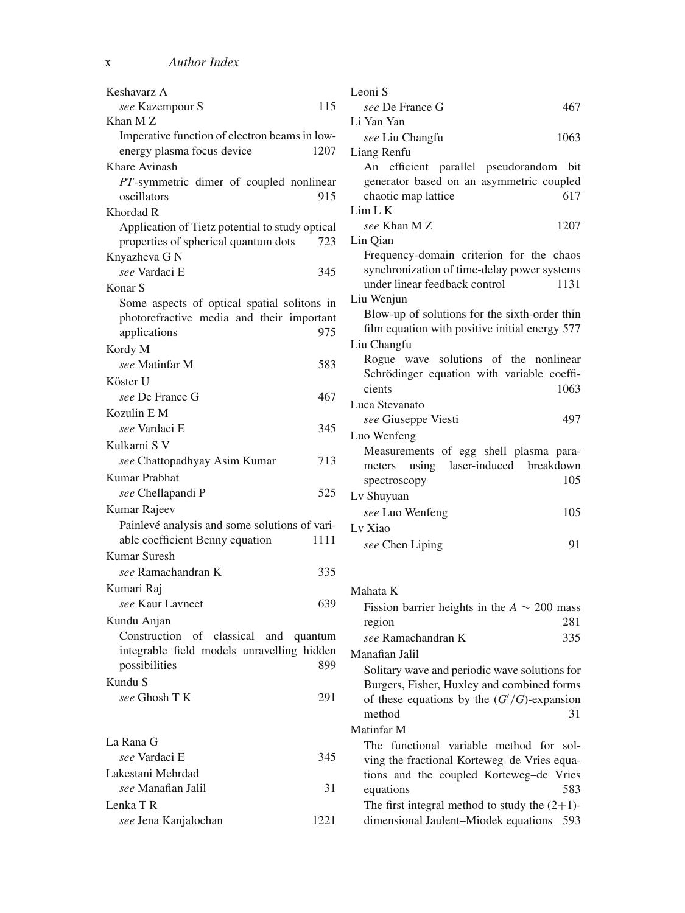| Keshavarz A                                     | Leoni S                                                                              |
|-------------------------------------------------|--------------------------------------------------------------------------------------|
| 115<br>see Kazempour S                          | see De France G<br>467                                                               |
| Khan MZ                                         | Li Yan Yan                                                                           |
| Imperative function of electron beams in low-   | 1063<br>see Liu Changfu                                                              |
| energy plasma focus device<br>1207              | Liang Renfu                                                                          |
| Khare Avinash                                   | An efficient parallel pseudorandom bit                                               |
| PT-symmetric dimer of coupled nonlinear         | generator based on an asymmetric coupled                                             |
| oscillators<br>915                              | 617<br>chaotic map lattice                                                           |
| Khordad R                                       | Lim L K                                                                              |
| Application of Tietz potential to study optical | see Khan M Z<br>1207                                                                 |
| properties of spherical quantum dots<br>723     | Lin Qian                                                                             |
| Knyazheva G N                                   | Frequency-domain criterion for the chaos                                             |
| see Vardaci E<br>345                            | synchronization of time-delay power systems<br>under linear feedback control<br>1131 |
| Konar S                                         | Liu Wenjun                                                                           |
| Some aspects of optical spatial solitons in     | Blow-up of solutions for the sixth-order thin                                        |
| photorefractive media and their important       | film equation with positive initial energy 577                                       |
| applications<br>975                             | Liu Changfu                                                                          |
| Kordy M                                         | Rogue wave solutions of the nonlinear                                                |
| 583<br>see Matinfar M                           | Schrödinger equation with variable coeffi-                                           |
| Köster U                                        | 1063<br>cients                                                                       |
| see De France G<br>467                          | Luca Stevanato                                                                       |
| Kozulin E M                                     | see Giuseppe Viesti<br>497                                                           |
| see Vardaci E<br>345                            | Luo Wenfeng                                                                          |
| Kulkarni S V                                    | Measurements of egg shell plasma para-                                               |
| see Chattopadhyay Asim Kumar<br>713             | laser-induced breakdown<br>using<br>meters                                           |
| Kumar Prabhat                                   | spectroscopy<br>105                                                                  |
| see Chellapandi P<br>525                        | Ly Shuyuan                                                                           |
| Kumar Rajeev                                    | see Luo Wenfeng<br>105                                                               |
| Painlevé analysis and some solutions of vari-   | Lv Xiao                                                                              |
| able coefficient Benny equation<br>1111         | 91<br>see Chen Liping                                                                |
| Kumar Suresh                                    |                                                                                      |
| 335<br>see Ramachandran K                       |                                                                                      |
| Kumari Raj                                      | Mahata K                                                                             |
| see Kaur Lavneet<br>639                         | Fission barrier heights in the $A \sim 200$ mass                                     |
| Kundu Anjan                                     | 281<br>region                                                                        |
| Construction of classical and quantum           | 335<br>see Ramachandran K                                                            |
| integrable field models unravelling hidden      | Manafian Jalil                                                                       |
| possibilities<br>899                            | Solitary wave and periodic wave solutions for                                        |
| Kundu S                                         | Burgers, Fisher, Huxley and combined forms                                           |
| 291<br>see Ghosh T K                            | of these equations by the $(G'/G)$ -expansion                                        |
|                                                 | 31<br>method                                                                         |
|                                                 | Matinfar M                                                                           |
| La Rana G                                       | The functional variable method for sol-                                              |
| see Vardaci E<br>345                            | ving the fractional Korteweg-de Vries equa-                                          |
| Lakestani Mehrdad                               | tions and the coupled Korteweg-de Vries                                              |
| see Manafian Jalil                              | 31<br>equations<br>583                                                               |
| Lenka TR                                        | The first integral method to study the $(2+1)$ -                                     |
| see Jena Kanjalochan<br>1221                    | dimensional Jaulent-Miodek equations 593                                             |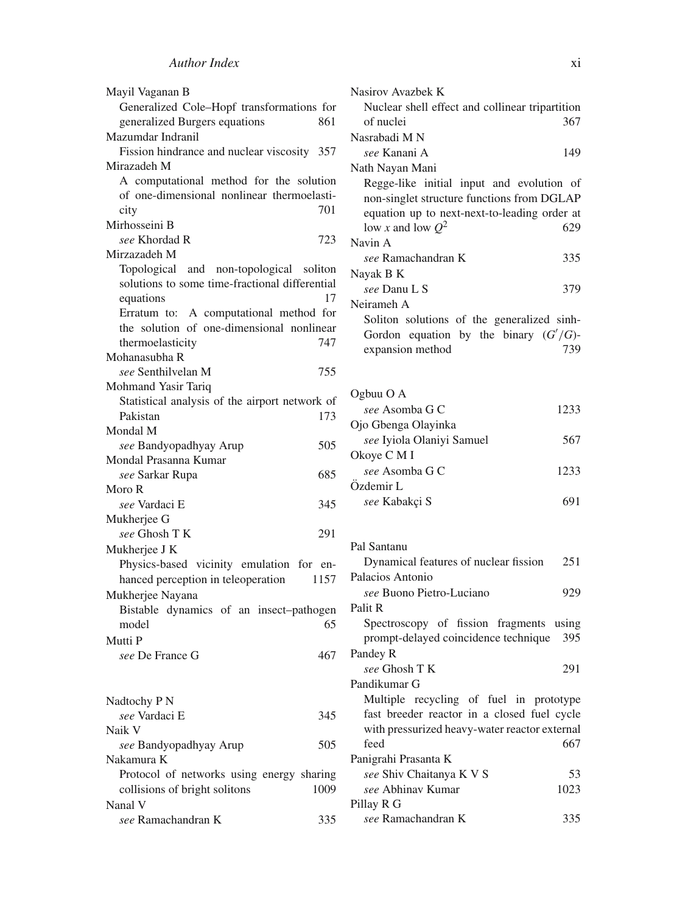| Mayil Vaganan B                                |
|------------------------------------------------|
| Generalized Cole-Hopf transformations for      |
| generalized Burgers equations<br>861           |
| Mazumdar Indranil                              |
| Fission hindrance and nuclear viscosity 357    |
| Mirazadeh M                                    |
| A computational method for the solution        |
| of one-dimensional nonlinear thermoelasti-     |
| 701<br>city                                    |
| Mirhosseini B                                  |
| see Khordad R<br>723                           |
| Mirzazadeh M                                   |
|                                                |
| Topological and non-topological soliton        |
| solutions to some time-fractional differential |
| equations<br>17                                |
| Erratum to: A computational method for         |
| the solution of one-dimensional nonlinear      |
| 747<br>thermoelasticity                        |
| Mohanasubha R                                  |
| see Senthilvelan M<br>755                      |
| Mohmand Yasir Tariq                            |
| Statistical analysis of the airport network of |
| 173<br>Pakistan                                |
| Mondal M                                       |
| 505<br>see Bandyopadhyay Arup                  |
| Mondal Prasanna Kumar                          |
| 685<br>see Sarkar Rupa                         |
| Moro R                                         |
| see Vardaci E<br>345                           |
| Mukherjee G                                    |
| see Ghosh T K<br>291                           |
| Mukherjee J K                                  |
| Physics-based vicinity emulation for en-       |
| hanced perception in teleoperation<br>1157     |
| Mukherjee Nayana                               |
|                                                |
| Bistable dynamics of an insect-pathogen        |
| 65<br>model                                    |
| Mutti P                                        |
| see De France G<br>467                         |
|                                                |
|                                                |
| Nadtochy P N                                   |
| see Vardaci E<br>345                           |
| Naik V                                         |
| see Bandyopadhyay Arup<br>505                  |
| Nakamura K                                     |
| Protocol of networks using energy sharing      |
| collisions of bright solitons<br>1009          |
| Nanal V                                        |
| see Ramachandran K<br>335                      |
|                                                |

| Nasirov Avazbek K                               |      |
|-------------------------------------------------|------|
| Nuclear shell effect and collinear tripartition |      |
| of nuclei                                       | 367  |
| Nasrabadi M N                                   |      |
| see Kanani A                                    | 149  |
| Nath Nayan Mani                                 |      |
| Regge-like initial input and evolution of       |      |
| non-singlet structure functions from DGLAP      |      |
| equation up to next-next-to-leading order at    |      |
| low x and low $Q^2$                             | 629  |
| Navin A                                         |      |
| see Ramachandran K                              | 335  |
| Nayak B K                                       |      |
| see Danu L S                                    | 379  |
| Neirameh A                                      |      |
| Soliton solutions of the generalized sinh-      |      |
| Gordon equation by the binary $(G'/G)$ -        |      |
| expansion method                                | 739  |
|                                                 |      |
|                                                 |      |
| Ogbuu O A                                       |      |
| see Asomba G C                                  | 1233 |
| Ojo Gbenga Olayinka                             |      |
| see Iyiola Olaniyi Samuel                       | 567  |
| Okoye C M I                                     |      |
| see Asomba G C                                  | 1233 |
| Özdemir L                                       |      |
| see Kabakçi S                                   | 691  |
|                                                 |      |
|                                                 |      |
| Pal Santanu                                     |      |

| Dynamical features of nuclear fission         | 251  |
|-----------------------------------------------|------|
| Palacios Antonio                              |      |
| see Buono Pietro-Luciano                      | 929  |
| Palit R                                       |      |
| Spectroscopy of fission fragments using       |      |
| prompt-delayed coincidence technique 395      |      |
| Pandey R                                      |      |
| see Ghosh T K                                 | 291  |
| Pandikumar G                                  |      |
| Multiple recycling of fuel in prototype       |      |
| fast breeder reactor in a closed fuel cycle   |      |
| with pressurized heavy-water reactor external |      |
| feed                                          | 667  |
| Panigrahi Prasanta K                          |      |
| see Shiv Chaitanya K V S                      | 53   |
| see Abhinay Kumar                             | 1023 |
| Pillay R G                                    |      |
| see Ramachandran K                            | 335  |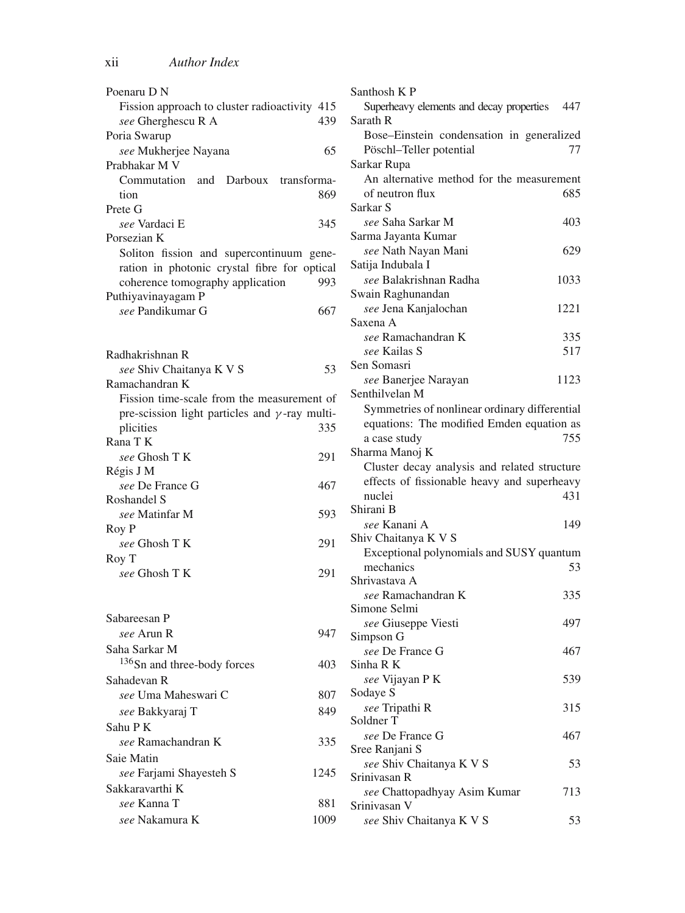| Poenaru D N                                           |      |
|-------------------------------------------------------|------|
| Fission approach to cluster radioactivity 415         |      |
| see Gherghescu R A                                    | 439  |
| Poria Swarup                                          |      |
| see Mukherjee Nayana                                  | 65   |
| Prabhakar M V                                         |      |
| Commutation and Darboux transforma-                   |      |
| tion                                                  | 869  |
| Prete G                                               |      |
| see Vardaci E                                         | 345  |
| Porsezian K                                           |      |
| Soliton fission and supercontinuum gene-              |      |
| ration in photonic crystal fibre for optical          |      |
| coherence tomography application                      | 993  |
| Puthiyavinayagam P                                    |      |
| see Pandikumar G                                      | 667  |
|                                                       |      |
|                                                       |      |
|                                                       |      |
| Radhakrishnan R                                       |      |
| see Shiv Chaitanya K V S                              | 53   |
| Ramachandran K                                        |      |
| Fission time-scale from the measurement of            |      |
| pre-scission light particles and $\gamma$ -ray multi- |      |
| plicities                                             | 335  |
| Rana T K                                              |      |
| see Ghosh T K                                         | 291  |
| Régis J M                                             |      |
| see De France G                                       | 467  |
| Roshandel S                                           |      |
| see Matinfar M                                        | 593  |
| Roy P                                                 |      |
| see Ghosh TK                                          | 291  |
| Roy T                                                 |      |
| see Ghosh T K                                         | 291  |
|                                                       |      |
|                                                       |      |
| Sabareesan P                                          |      |
| see Arun R                                            | 947  |
| Saha Sarkar M                                         |      |
| <sup>136</sup> Sn and three-body forces               | 403  |
| Sahadevan R                                           |      |
| see Uma Maheswari C                                   | 807  |
|                                                       | 849  |
| see Bakkyaraj T                                       |      |
| Sahu PK                                               |      |
| see Ramachandran K                                    | 335  |
| Saie Matin                                            |      |
| see Farjami Shayesteh S                               | 1245 |
| Sakkaravarthi K                                       |      |
| see Kanna T                                           | 881  |
| see Nakamura K                                        | 1009 |

| Santhosh K P                                  |      |
|-----------------------------------------------|------|
| Superheavy elements and decay properties      | 447  |
| Sarath R                                      |      |
| Bose-Einstein condensation in generalized     |      |
| Pöschl-Teller potential                       | 77   |
| Sarkar Rupa                                   |      |
|                                               |      |
| An alternative method for the measurement     |      |
| of neutron flux                               | 685  |
| Sarkar <sub>S</sub>                           |      |
| see Saha Sarkar M                             | 403  |
| Sarma Jayanta Kumar                           |      |
| see Nath Nayan Mani                           | 629  |
| Satija Indubala I                             |      |
| see Balakrishnan Radha                        | 1033 |
| Swain Raghunandan                             |      |
| see Jena Kanjalochan                          | 1221 |
| Saxena A                                      |      |
|                                               |      |
| see Ramachandran K                            | 335  |
| see Kailas S                                  | 517  |
| Sen Somasri                                   |      |
| see Banerjee Narayan                          | 1123 |
| Senthilvelan M                                |      |
| Symmetries of nonlinear ordinary differential |      |
| equations: The modified Emden equation as     |      |
| a case study                                  | 755  |
| Sharma Manoj K                                |      |
|                                               |      |
| Cluster decay analysis and related structure  |      |
| effects of fissionable heavy and superheavy   |      |
| nuclei                                        | 431  |
| Shirani B                                     |      |
| <i>see</i> Kanani A                           | 149  |
| Shiv Chaitanya K V S                          |      |
| Exceptional polynomials and SUSY quantum      |      |
| mechanics                                     | 53   |
| Shrivastava A                                 |      |
| see Ramachandran K                            | 335  |
| Simone Selmi                                  |      |
| see Giuseppe Viesti                           | 497  |
| Simpson G                                     |      |
|                                               |      |
| see De France G<br>Sinha R K                  | 467  |
|                                               |      |
| see Vijayan P K                               | 539  |
| Sodaye S                                      |      |
| see Tripathi R                                | 315  |
| Soldner T                                     |      |
| see De France G                               | 467  |
| Sree Ranjani S                                |      |
| see Shiv Chaitanya K V S                      | 53   |
| Srinivasan R                                  |      |
| see Chattopadhyay Asim Kumar                  | 713  |
| Srinivasan V                                  |      |
| see Shiv Chaitanya K V S                      | 53   |
|                                               |      |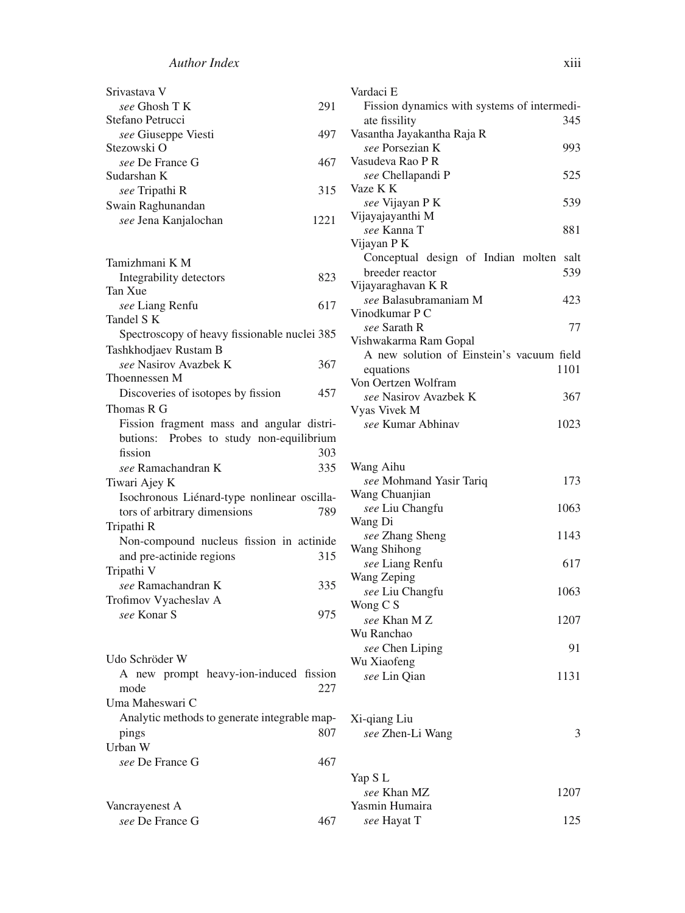| Srivastava V          |      |
|-----------------------|------|
| see Ghosh T K         | 291  |
| Stefano Petrucci      |      |
| see Giuseppe Viesti   | 497  |
| Stezowski O           |      |
| see De France G       | 467  |
| Sudarshan K           |      |
| <i>see</i> Tripathi R | 315  |
| Swain Raghunandan     |      |
| see Jena Kanjalochan  | 1221 |
|                       |      |
| Tamizhmani K M        |      |
|                       |      |

| Integrability detectors                      | 823 |
|----------------------------------------------|-----|
| Tan Xue                                      |     |
| see Liang Renfu                              | 617 |
| Tandel S K                                   |     |
| Spectroscopy of heavy fissionable nuclei 385 |     |
| Tashkhodjaev Rustam B                        |     |
| see Nasirov Avazbek K                        | 367 |
| Thoennessen M                                |     |
| Discoveries of isotopes by fission           | 457 |
| Thomas R G                                   |     |
| Fission fragment mass and angular distri-    |     |
| butions: Probes to study non-equilibrium     |     |
| fission                                      | 303 |
| see Ramachandran K                           | 335 |
| Tiwari Ajey K                                |     |
| Isochronous Liénard-type nonlinear oscilla-  |     |
| tors of arbitrary dimensions                 | 789 |
| Tripathi R                                   |     |
| Non-compound nucleus fission in actinide.    |     |
| and pre-actinide regions                     | 315 |
| Tripathi V                                   |     |
| see Ramachandran K                           | 335 |
| Trofimov Vyacheslav A                        |     |
| see Konar S                                  | 975 |
|                                              |     |

| Udo Schröder W  |                                              |     |
|-----------------|----------------------------------------------|-----|
|                 | A new prompt heavy-ion-induced fission       |     |
| mode            |                                              | 227 |
| Uma Maheswari C |                                              |     |
|                 | Analytic methods to generate integrable map- |     |
| pings           |                                              | 807 |
| Urban W         |                                              |     |
| see De France G |                                              |     |
|                 |                                              |     |
|                 |                                              |     |

| Vancrayenest A  |     |
|-----------------|-----|
| see De France G | 467 |

| Vardaci E                                   |
|---------------------------------------------|
| Fission dynamics with systems of intermedi- |
| ate fissility<br>345                        |
| Vasantha Jayakantha Raja R                  |
| see Porsezian K<br>993                      |
| Vasudeva Rao P R                            |
| 525<br>see Chellapandi P                    |
| Vaze K K                                    |
| see Vijayan P K<br>539                      |
| Vijayajayanthi M                            |
| see Kanna T<br>881                          |
| Vijayan P K                                 |
| Conceptual design of Indian molten salt     |
| breeder reactor<br>539                      |
| Vijayaraghavan K R                          |
| see Balasubramaniam M<br>423                |
| Vinodkumar P C                              |
| 77<br>see Sarath R                          |
| Vishwakarma Ram Gopal                       |
| A new solution of Einstein's vacuum field   |
| 1101<br>equations                           |
| Von Oertzen Wolfram                         |
| see Nasirov Avazbek K<br>367                |
| Vyas Vivek M                                |

*see* Kumar Abhinav 1023

| Wang Aihu               |      |
|-------------------------|------|
| see Mohmand Yasir Tariq | 173  |
| Wang Chuanjian          |      |
| see Liu Changfu         | 1063 |
| Wang Di                 |      |
| see Zhang Sheng         | 1143 |
| Wang Shihong            |      |
| see Liang Renfu         | 617  |
| Wang Zeping             |      |
| see Liu Changfu         | 1063 |
| Wong C S                |      |
| see Khan M Z            | 1207 |
| Wu Ranchao              |      |
| see Chen Liping         | 91   |
| Wu Xiaofeng             |      |
| see Lin Qian            | 1131 |
|                         |      |
| Xi-qiang Liu            |      |
| see Zhen-Li Wang        | 3    |
|                         |      |
| Yap S L                 |      |
| see Khan MZ             | 1207 |
| Yasmin Humaira          |      |

*see* Hayat T 125